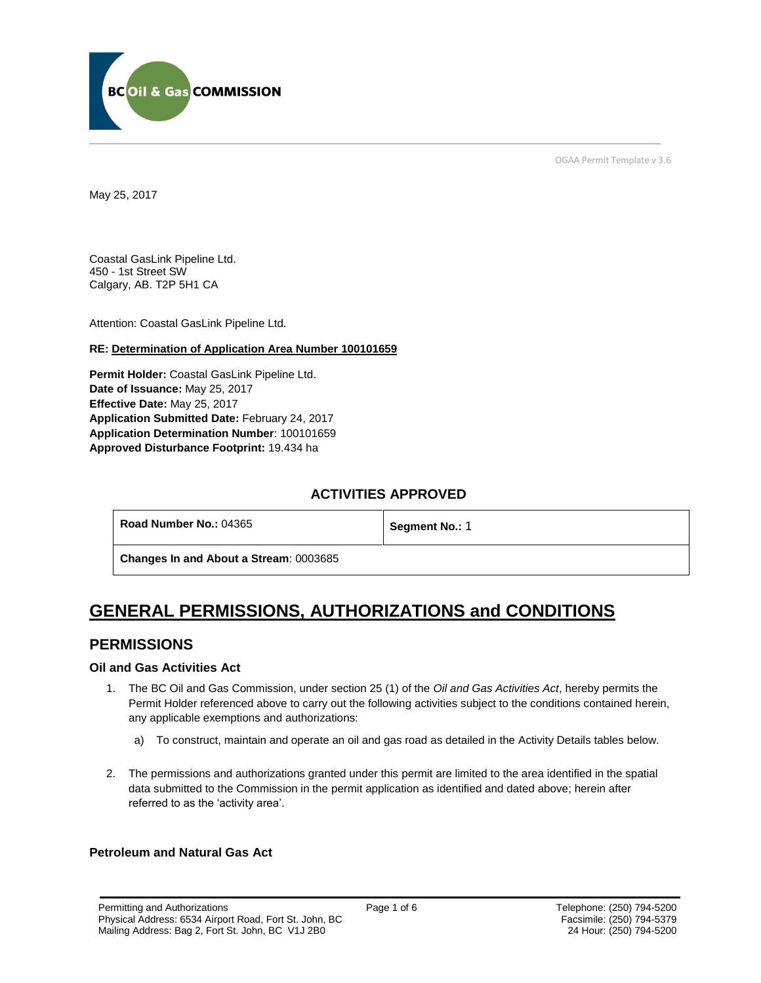

OGAA Permit Template v 3.6

May 25, 2017

Coastal GasLink Pipeline Ltd. 450 - 1st Street SW Calgary, AB. T2P 5H1 CA

[Attention:](file://///bcogc/shares/P&A%20Review%20&%20Determination/AMS%20PERMITS/AD100101663/100101663%20DRAFT%20PERMIT.docx%23permit_hoverhint) Coastal GasLink Pipeline Ltd.

### **RE: Determination of Application Area Number 100101659**

**[Permit Holder:](#page-0-0)** Coastal GasLink Pipeline Ltd. **[Date of Issuance:](#page-0-0)** May 25, 2017 **[Effective Date:](#page-0-1)** May 25, 2017 **[Application Submitted Date:](#page-0-0)** February 24, 2017 **[Application Determination Number](#page-0-0)**: 100101659 **Approved Disturbance Footprint:** 19.434 ha

## **ACTIVITIES APPROVED**

| Road Number No.: 04365 | Segment No.: 1 |
|------------------------|----------------|
|                        |                |

**[Changes In and About a Stream](#page-0-0)**: 0003685

# **GENERAL PERMISSIONS, AUTHORIZATIONS and CONDITIONS**

## **PERMISSIONS**

### **Oil and Gas Activities Act**

- <span id="page-0-0"></span>1. The BC Oil and Gas Commission, under section 25 (1) of the *Oil and Gas Activities Act*, hereby permits the Permit Holder referenced above to carry out the following activities subject to the conditions contained herein, any applicable exemptions and authorizations:
	- a) To construct, maintain and operate an oil and gas road as detailed in the Activity Details tables below.
- 2. The permissions and authorizations granted under this permit are limited to the area identified in the spatial data submitted to the Commission in the permit application as identified and dated above; herein after referred to as the 'activity area'.

## <span id="page-0-1"></span>**Petroleum and Natural Gas Act**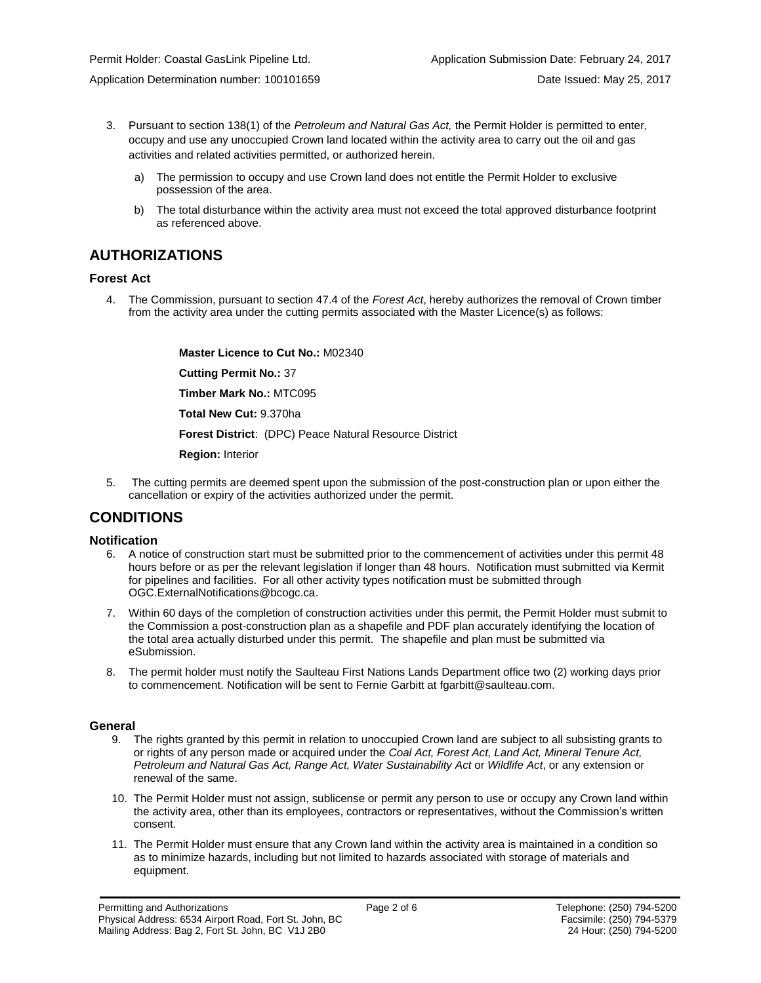- - 3. Pursuant to section 138(1) of the *Petroleum and Natural Gas Act,* the Permit Holder is permitted to enter, occupy and use any unoccupied Crown land located within the activity area to carry out the oil and gas activities and related activities permitted, or authorized herein.
		- a) The permission to occupy and use Crown land does not entitle the Permit Holder to exclusive possession of the area.
		- b) The total disturbance within the activity area must not exceed the total approved disturbance footprint as referenced above.

# **AUTHORIZATIONS**

## **Forest Act**

4. The Commission, pursuant to section 47.4 of the *Forest Act*, hereby authorizes the removal of Crown timber from the activity area under the cutting permits associated with the Master Licence(s) as follows:

> **[Master Licence to Cut No.:](#page-0-0)** M02340 **[Cutting Permit No.:](#page-0-0)** 37 **[Timber Mark No.:](#page-0-0)** MTC095 **[Total New Cut:](#page-0-0)** 9.370ha **[Forest District](https://ams-crd.bcogc.ca/crd/)**: (DPC) Peace Natural Resource District **[Region:](#page-0-1)** Interior

5. The cutting permits are deemed spent upon the submission of the post-construction plan or upon either the cancellation or expiry of the activities authorized under the permit.

# **CONDITIONS**

### **Notification**

- 6. A notice of construction start must be submitted prior to the commencement of activities under this permit 48 hours before or as per the relevant legislation if longer than 48 hours. Notification must submitted via Kermit for pipelines and facilities. For all other activity types notification must be submitted through [OGC.ExternalNotifications@bcogc.ca.](mailto:OGC.ExternalNotifications@bcogc.ca)
- 7. Within 60 days of the completion of construction activities under this permit, the Permit Holder must submit to the Commission a post-construction plan as a shapefile and PDF plan accurately identifying the location of the total area actually disturbed under this permit. The shapefile and plan must be submitted via eSubmission.
- 8. The permit holder must notify the Saulteau First Nations Lands Department office two (2) working days prior to commencement. Notification will be sent to Fernie Garbitt at fgarbitt@saulteau.com.

### **General**

- 9. The rights granted by this permit in relation to unoccupied Crown land are subject to all subsisting grants to or rights of any person made or acquired under the *Coal Act, Forest Act, Land Act, Mineral Tenure Act, Petroleum and Natural Gas Act, Range Act, Water Sustainability Act* or *Wildlife Act*, or any extension or renewal of the same.
- 10. The Permit Holder must not assign, sublicense or permit any person to use or occupy any Crown land within the activity area, other than its employees, contractors or representatives, without the Commission's written consent.
- 11. The Permit Holder must ensure that any Crown land within the activity area is maintained in a condition so as to minimize hazards, including but not limited to hazards associated with storage of materials and equipment.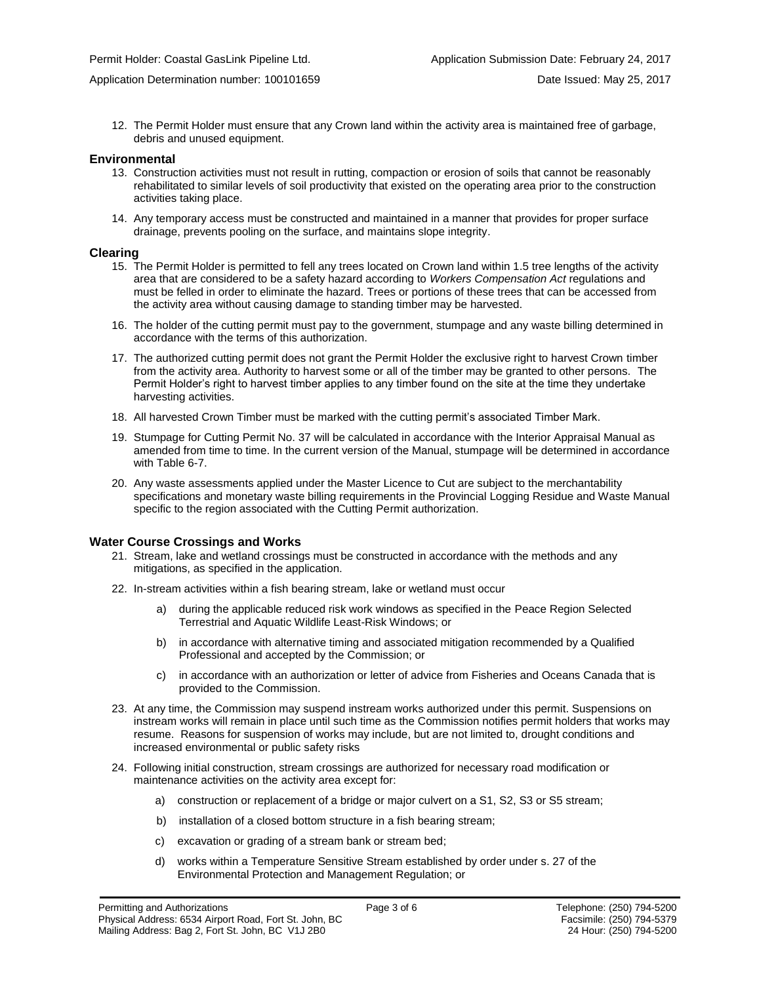12. The Permit Holder must ensure that any Crown land within the activity area is maintained free of garbage, debris and unused equipment.

#### **Environmental**

- 13. Construction activities must not result in rutting, compaction or erosion of soils that cannot be reasonably rehabilitated to similar levels of soil productivity that existed on the operating area prior to the construction activities taking place.
- 14. Any temporary access must be constructed and maintained in a manner that provides for proper surface drainage, prevents pooling on the surface, and maintains slope integrity.

#### **Clearing**

- 15. The Permit Holder is permitted to fell any trees located on Crown land within 1.5 tree lengths of the activity area that are considered to be a safety hazard according to *Workers Compensation Act* regulations and must be felled in order to eliminate the hazard. Trees or portions of these trees that can be accessed from the activity area without causing damage to standing timber may be harvested.
- 16. The holder of the cutting permit must pay to the government, stumpage and any waste billing determined in accordance with the terms of this authorization.
- 17. The authorized cutting permit does not grant the Permit Holder the exclusive right to harvest Crown timber from the activity area. Authority to harvest some or all of the timber may be granted to other persons. The Permit Holder's right to harvest timber applies to any timber found on the site at the time they undertake harvesting activities.
- 18. All harvested Crown Timber must be marked with the cutting permit's associated Timber Mark.
- 19. Stumpage for Cutting Permit No. 37 will be calculated in accordance with the Interior Appraisal Manual as amended from time to time. In the current version of the Manual, stumpage will be determined in accordance with Table 6-7.
- 20. Any waste assessments applied under the Master Licence to Cut are subject to the merchantability specifications and monetary waste billing requirements in the Provincial Logging Residue and Waste Manual specific to the region associated with the Cutting Permit authorization.

#### **Water Course Crossings and Works**

- 21. Stream, lake and wetland crossings must be constructed in accordance with the methods and any mitigations, as specified in the application.
- 22. In-stream activities within a fish bearing stream, lake or wetland must occur
	- a) [during the applicable reduced risk work windows as specified in the](#page-0-0) Peace Region Selected Terrestrial and Aquatic Wildlife Least-Risk Windows; or
	- b) in accordance with alternative timing and associated mitigation recommended by a Qualified Professional and accepted by the Commission; or
	- c) in accordance with an authorization or letter of advice from Fisheries and Oceans Canada that is provided to the Commission.
- 23. At any time, the Commission may suspend instream works authorized under this permit. Suspensions on instream works will remain in place until such time as the Commission notifies permit holders that works may resume. Reasons for suspension of works may include, but are not limited to, drought conditions and increased environmental or public safety risks
- 24. Following initial construction, stream crossings are authorized for necessary road modification or maintenance activities on the activity area except for:
	- a) construction or replacement of a bridge or major culvert on a S1, S2, S3 or S5 stream;
	- b) installation of a closed bottom structure in a fish bearing stream;
	- c) excavation or grading of a stream bank or stream bed;
	- d) works within a Temperature Sensitive Stream established by order under s. 27 of the Environmental Protection and Management Regulation; or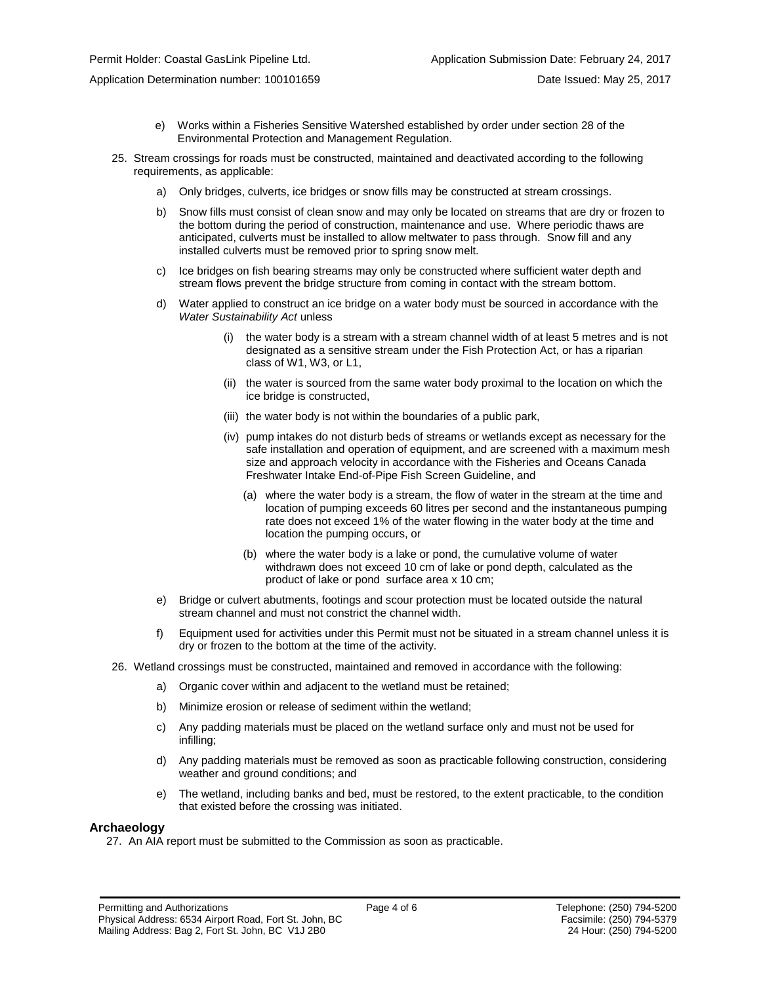Application Determination number: 100101659 Date Issued: May 25, 2017

- e) Works within a Fisheries Sensitive Watershed established by order under section 28 of the Environmental Protection and Management Regulation.
- 25. Stream crossings for roads must be constructed, maintained and deactivated according to the following requirements, as applicable:
	- a) Only bridges, culverts, ice bridges or snow fills may be constructed at stream crossings.
	- b) Snow fills must consist of clean snow and may only be located on streams that are dry or frozen to the bottom during the period of construction, maintenance and use. Where periodic thaws are anticipated, culverts must be installed to allow meltwater to pass through. Snow fill and any installed culverts must be removed prior to spring snow melt.
	- c) Ice bridges on fish bearing streams may only be constructed where sufficient water depth and stream flows prevent the bridge structure from coming in contact with the stream bottom.
	- d) Water applied to construct an ice bridge on a water body must be sourced in accordance with the *Water Sustainability Act* unless
		- (i) the water body is a stream with a stream channel width of at least 5 metres and is not designated as a sensitive stream under the Fish Protection Act, or has a riparian class of W1, W3, or L1,
		- (ii) the water is sourced from the same water body proximal to the location on which the ice bridge is constructed,
		- (iii) the water body is not within the boundaries of a public park,
		- (iv) pump intakes do not disturb beds of streams or wetlands except as necessary for the safe installation and operation of equipment, and are screened with a maximum mesh size and approach velocity in accordance with the Fisheries and Oceans Canada Freshwater Intake End-of-Pipe Fish Screen Guideline, and
			- (a) where the water body is a stream, the flow of water in the stream at the time and location of pumping exceeds 60 litres per second and the instantaneous pumping rate does not exceed 1% of the water flowing in the water body at the time and location the pumping occurs, or
			- (b) where the water body is a lake or pond, the cumulative volume of water withdrawn does not exceed 10 cm of lake or pond depth, calculated as the product of lake or pond surface area x 10 cm;
	- e) Bridge or culvert abutments, footings and scour protection must be located outside the natural stream channel and must not constrict the channel width.
	- f) Equipment used for activities under this Permit must not be situated in a stream channel unless it is dry or frozen to the bottom at the time of the activity.
- 26. Wetland crossings must be constructed, maintained and removed in accordance with the following:
	- a) Organic cover within and adjacent to the wetland must be retained;
	- b) Minimize erosion or release of sediment within the wetland;
	- c) Any padding materials must be placed on the wetland surface only and must not be used for infilling;
	- d) Any padding materials must be removed as soon as practicable following construction, considering weather and ground conditions; and
	- e) The wetland, including banks and bed, must be restored, to the extent practicable, to the condition that existed before the crossing was initiated.

#### **Archaeology**

27. An AIA report must be submitted to the Commission as soon as practicable.